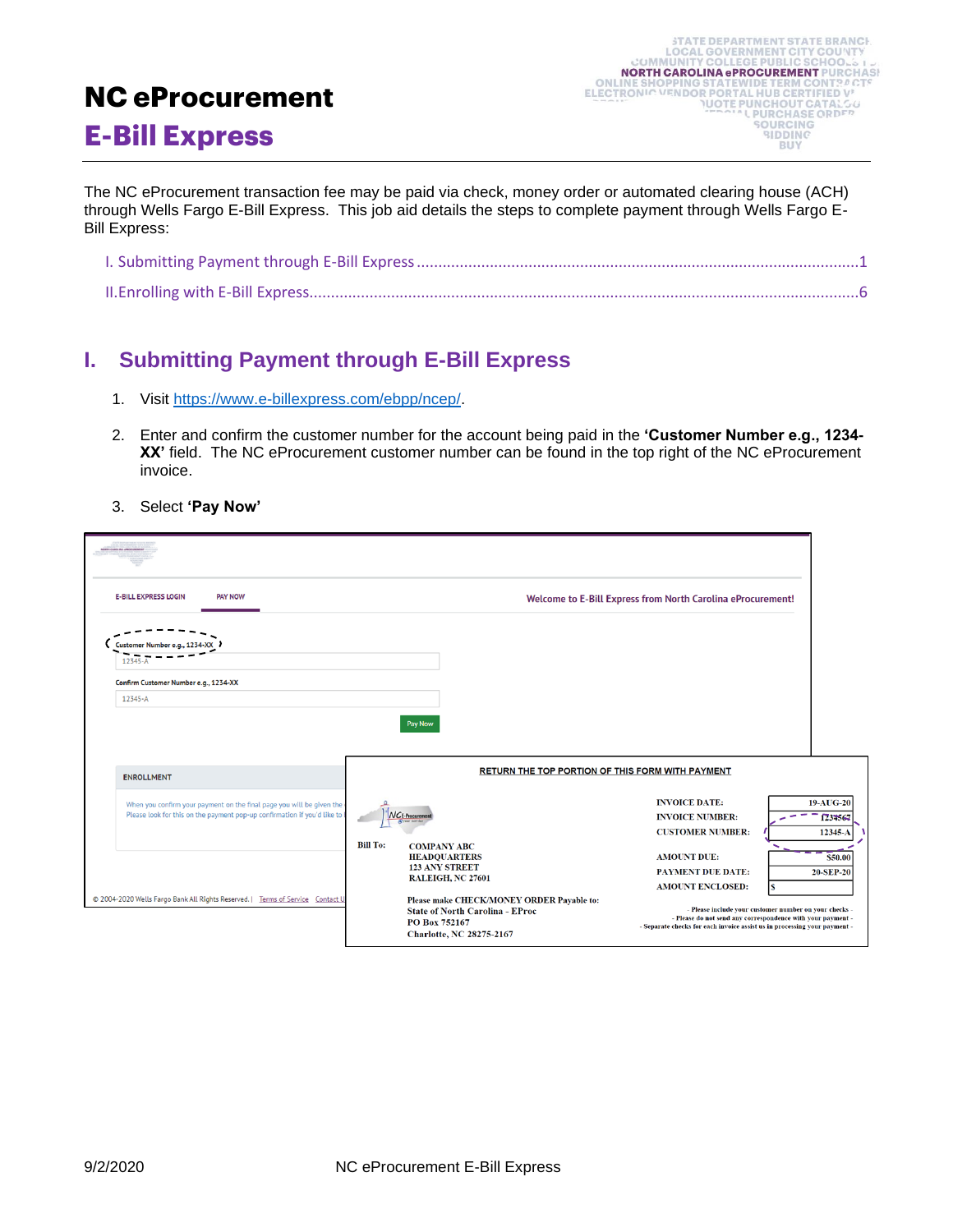## **NC eProcurement**

## **E-Bill Express**

The NC eProcurement transaction fee may be paid via check, money order or automated clearing house (ACH) through Wells Fargo E-Bill Express. This job aid details the steps to complete payment through Wells Fargo E-Bill Express:

## <span id="page-0-0"></span>**I. Submitting Payment through E-Bill Express**

- 1. Visit [https://www.e-billexpress.com/ebpp/ncep/.](https://www.e-billexpress.com/ebpp/ncep/)
- 2. Enter and confirm the customer number for the account being paid in the **'Customer Number e.g., 1234- XX'** field. The NC eProcurement customer number can be found in the top right of the NC eProcurement invoice.
- 3. Select **'Pay Now'**

| <b>E-BILL EXPRESS LOGIN</b><br><b>PAY NOW</b>                                                                                                     |                 |                                                                                                                        | Welcome to E-Bill Express from North Carolina eProcurement!               |                                                                                                                       |
|---------------------------------------------------------------------------------------------------------------------------------------------------|-----------------|------------------------------------------------------------------------------------------------------------------------|---------------------------------------------------------------------------|-----------------------------------------------------------------------------------------------------------------------|
| Customer Number e.g., 123<br>12345                                                                                                                |                 |                                                                                                                        |                                                                           |                                                                                                                       |
| Confirm Customer Number e.g., 1234-XX<br>12345-A                                                                                                  |                 |                                                                                                                        |                                                                           |                                                                                                                       |
|                                                                                                                                                   | Pay Now         |                                                                                                                        |                                                                           |                                                                                                                       |
| <b>ENROLLMENT</b>                                                                                                                                 |                 |                                                                                                                        | RETURN THE TOP PORTION OF THIS FORM WITH PAYMENT                          |                                                                                                                       |
| When you confirm your payment on the final page you will be given the<br>Please look for this on the payment pop-up confirmation if you'd like to | NCE-Procurement |                                                                                                                        | <b>INVOICE DATE:</b><br><b>INVOICE NUMBER:</b><br><b>CUSTOMER NUMBER:</b> | 19-AUG-20<br>1234564<br>12345-A                                                                                       |
|                                                                                                                                                   | <b>Bill To:</b> | <b>COMPANY ABC</b><br><b>HEADOUARTERS</b><br><b>123 ANY STREET</b><br>RALEIGH, NC 27601                                | <b>AMOUNT DUE:</b><br><b>PAYMENT DUE DATE:</b><br><b>AMOUNT ENCLOSED:</b> | S50.00<br>20-SEP-20<br>Ś                                                                                              |
| @ 2004-2020 Wells Fargo Bank All Rights Reserved.   Terms of Service Contact U                                                                    | PO Box 752167   | Please make CHECK/MONEY ORDER Payable to:<br><b>State of North Carolina - EProc</b><br><b>Charlotte, NC 28275-2167</b> | - Separate checks for each invoice assist us in processing your payment - | - Please include your customer number on your checks -<br>- Please do not send any correspondence with your payment - |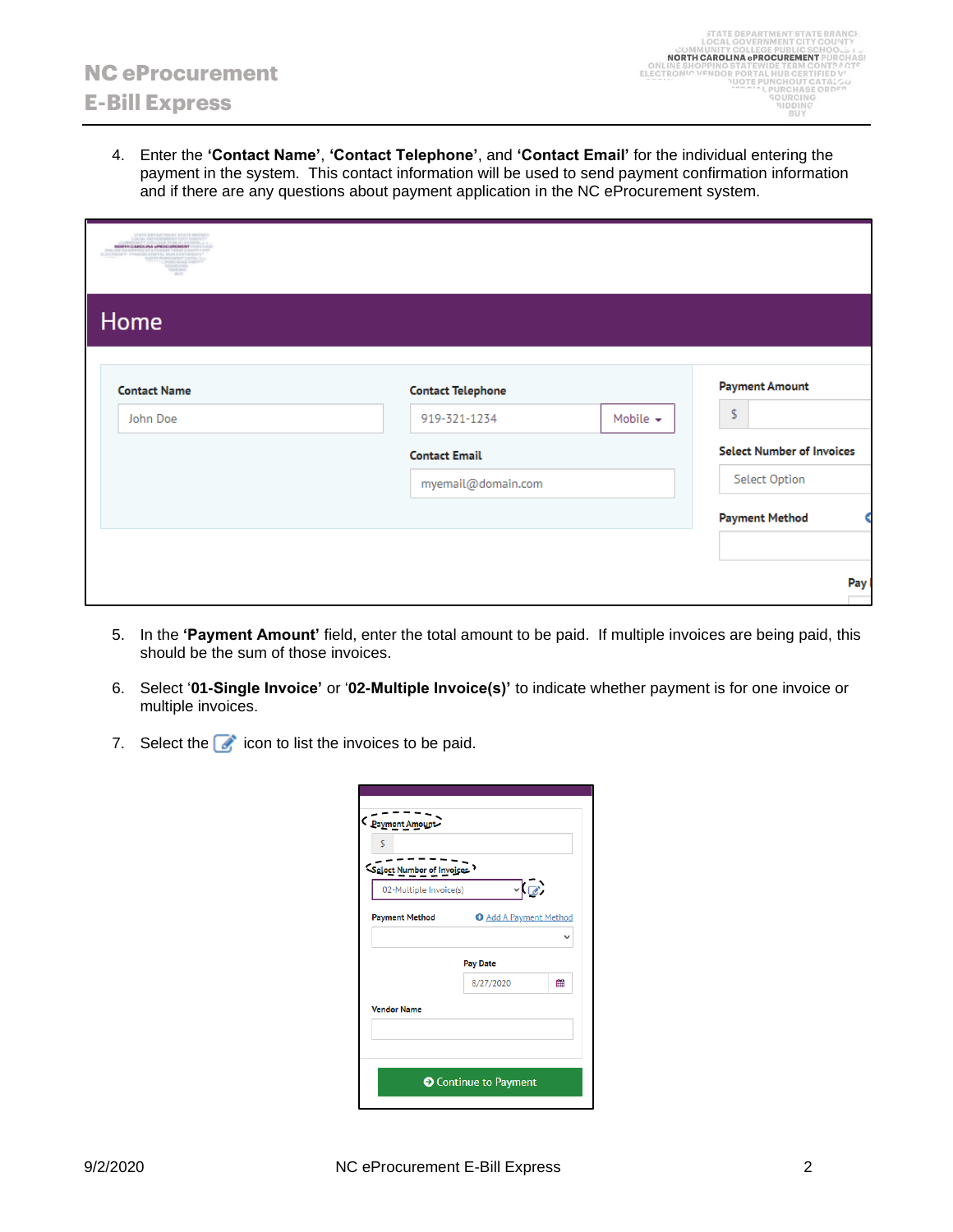4. Enter the **'Contact Name'**, **'Contact Telephone'**, and **'Contact Email'** for the individual entering the payment in the system. This contact information will be used to send payment confirmation information and if there are any questions about payment application in the NC eProcurement system.

| <b>JTATE DEPARTMENT STATE BR</b><br>LOCAL GOVERNMENT CITY COUP<br>Cultural product consistent products<br>NORTH CAROLINA APROCUREMENT FUEL<br>OW.INE SHOPPING STATEWIDE TEEM CONTRAC<br>ELECTRONY' VENDOR PORTAL NUR CERTIFIED V<br>NADTE PURCHOUT CATALO<br>"L PURCHASE ORD<br><b>NOURCERS</b><br><b>NIDD INC</b><br>99.79 |                          |                |                                  |
|-----------------------------------------------------------------------------------------------------------------------------------------------------------------------------------------------------------------------------------------------------------------------------------------------------------------------------|--------------------------|----------------|----------------------------------|
| Home                                                                                                                                                                                                                                                                                                                        |                          |                |                                  |
| <b>Contact Name</b>                                                                                                                                                                                                                                                                                                         | <b>Contact Telephone</b> |                | <b>Payment Amount</b>            |
| John Doe                                                                                                                                                                                                                                                                                                                    | 919-321-1234             | Mobile $\star$ | \$                               |
|                                                                                                                                                                                                                                                                                                                             | <b>Contact Email</b>     |                | <b>Select Number of Invoices</b> |
|                                                                                                                                                                                                                                                                                                                             | myemail@domain.com       |                | Select Option                    |
|                                                                                                                                                                                                                                                                                                                             |                          |                | <b>Payment Method</b>            |
|                                                                                                                                                                                                                                                                                                                             |                          |                | Pay                              |

- 5. In the **'Payment Amount'** field, enter the total amount to be paid. If multiple invoices are being paid, this should be the sum of those invoices.
- 6. Select '**01-Single Invoice'** or '**02-Multiple Invoice(s)'** to indicate whether payment is for one invoice or multiple invoices.
- 7. Select the  $\bullet$  icon to list the invoices to be paid.

| <b>O</b> Add A Payment Method<br><b>Pay Date</b><br>鱛<br>8/27/2020 | Select Number of Invoices<br>02-Multiple Invoice(s) | $\mathbb{Z}$ |  |
|--------------------------------------------------------------------|-----------------------------------------------------|--------------|--|
|                                                                    | <b>Payment Method</b>                               |              |  |
|                                                                    |                                                     |              |  |
|                                                                    |                                                     |              |  |
|                                                                    | <b>Vendor Name</b>                                  |              |  |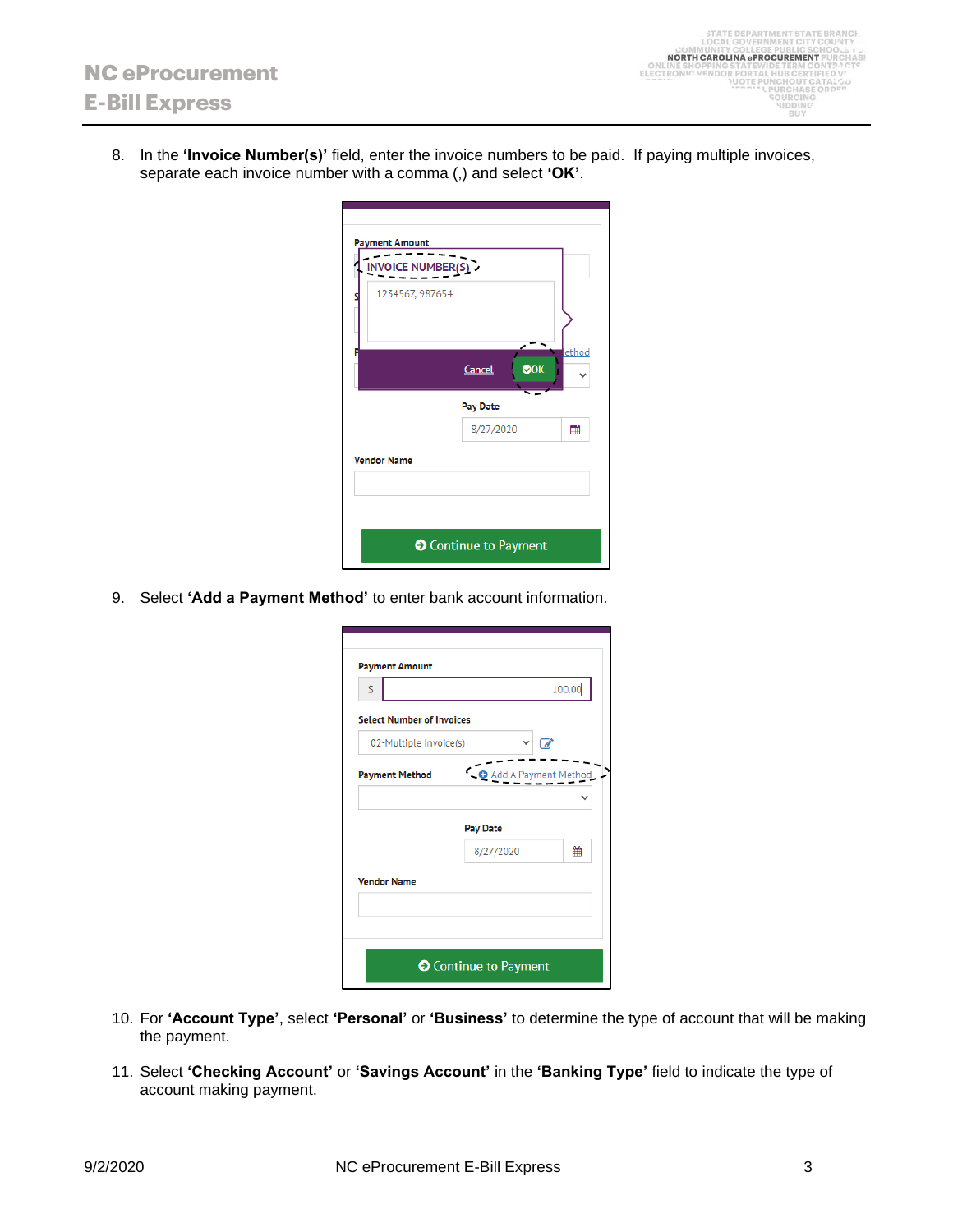8. In the **'Invoice Number(s)'** field, enter the invoice numbers to be paid. If paying multiple invoices, separate each invoice number with a comma (,) and select **'OK'**.

| <b>Payment Amount</b><br>INVOICE NUMBER(S) |                              |       |
|--------------------------------------------|------------------------------|-------|
| 1234567, 987654                            |                              |       |
|                                            | OOK<br>Cancel                | ethod |
|                                            | Pay Date                     |       |
|                                            | 8/27/2020                    | 鯩     |
| <b>Vendor Name</b>                         |                              |       |
|                                            |                              |       |
|                                            | <b>O</b> Continue to Payment |       |

9. Select **'Add a Payment Method'** to enter bank account information.

| <b>Payment Amount</b>            |                              |        |
|----------------------------------|------------------------------|--------|
| \$                               |                              | 100.00 |
| <b>Select Number of Invoices</b> |                              |        |
| 02-Multiple Invoice(s)           |                              | Ø,     |
|                                  | O Add A Payment Method       |        |
| <b>Payment Method</b>            |                              |        |
|                                  |                              |        |
|                                  | <b>Pay Date</b>              |        |
|                                  | 8/27/2020                    | 鯩      |
| <b>Vendor Name</b>               |                              |        |
|                                  |                              |        |
|                                  |                              |        |
|                                  |                              |        |
|                                  | <b>●</b> Continue to Payment |        |
|                                  |                              |        |

- 10. For **'Account Type'**, select **'Personal'** or **'Business'** to determine the type of account that will be making the payment.
- 11. Select **'Checking Account'** or **'Savings Account'** in the **'Banking Type'** field to indicate the type of account making payment.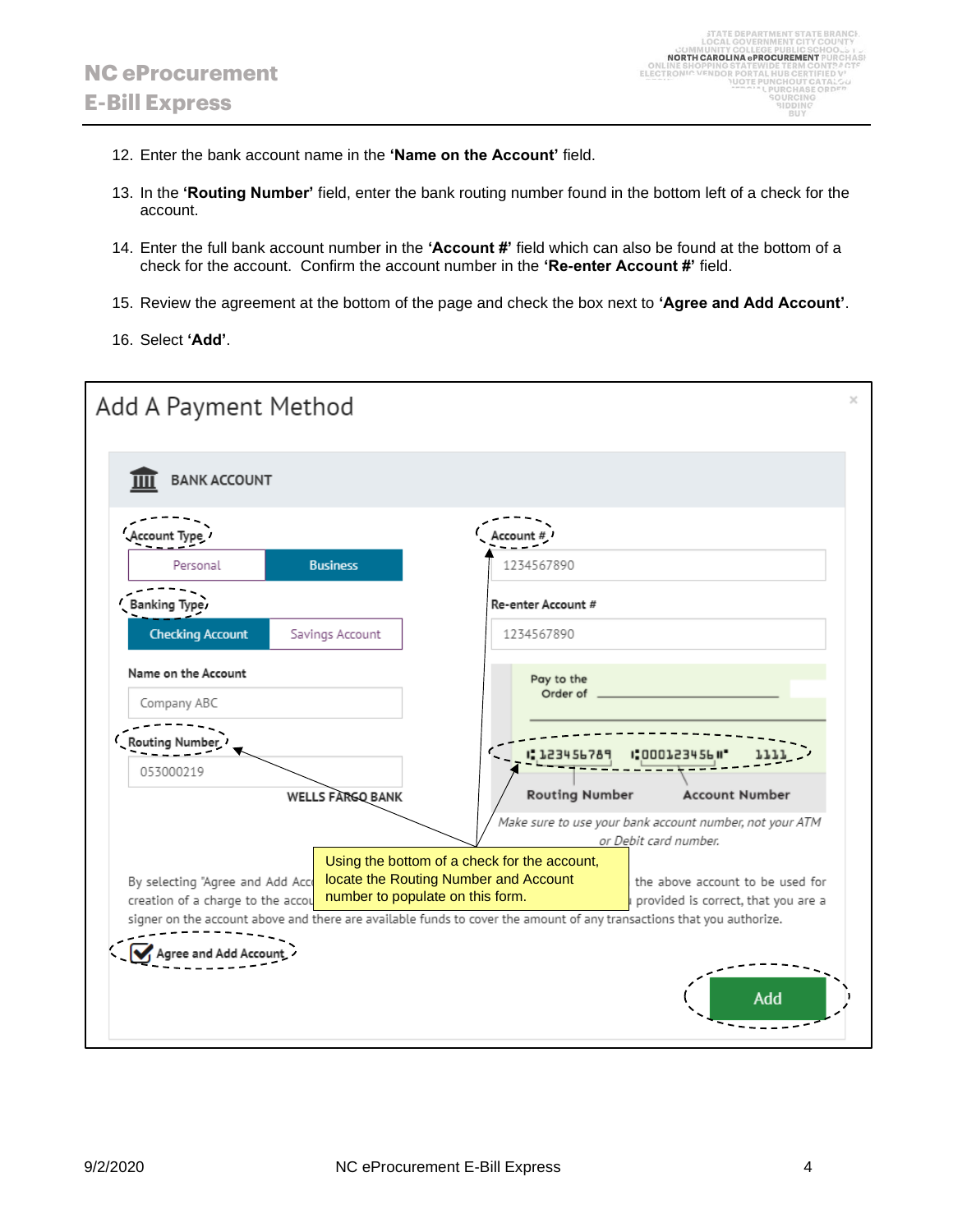- 12. Enter the bank account name in the **'Name on the Account'** field.
- 13. In the **'Routing Number'** field, enter the bank routing number found in the bottom left of a check for the account.
- 14. Enter the full bank account number in the **'Account #'** field which can also be found at the bottom of a check for the account. Confirm the account number in the **'Re-enter Account #'** field.
- 15. Review the agreement at the bottom of the page and check the box next to **'Agree and Add Account'**.
- 16. Select **'Add'**.

| Add A Payment Method                                                                                                                                                                                                          |                                                                                                                                                                                                               |
|-------------------------------------------------------------------------------------------------------------------------------------------------------------------------------------------------------------------------------|---------------------------------------------------------------------------------------------------------------------------------------------------------------------------------------------------------------|
| <b>BANK ACCOUNT</b>                                                                                                                                                                                                           |                                                                                                                                                                                                               |
|                                                                                                                                                                                                                               |                                                                                                                                                                                                               |
| <b>Business</b><br>Personal                                                                                                                                                                                                   | 1234567890                                                                                                                                                                                                    |
| Banking Type.                                                                                                                                                                                                                 | Re-enter Account #                                                                                                                                                                                            |
| <b>Checking Account</b><br>Savings Account                                                                                                                                                                                    | 1234567890                                                                                                                                                                                                    |
| Name on the Account<br>Company ABC                                                                                                                                                                                            | Pay to the<br>Order of                                                                                                                                                                                        |
| Routing Number                                                                                                                                                                                                                | 123456                                                                                                                                                                                                        |
| 053000219                                                                                                                                                                                                                     |                                                                                                                                                                                                               |
| <b>WELLS FARGO BANK</b><br>Using the bottom of a check for the account,<br>locate the Routing Number and Account<br>By selecting "Agree and Add Acco<br>number to populate on this form.<br>creation of a charge to the accou | <b>Routing Number</b><br><b>Account Number</b><br>Make sure to use your bank account number, not your ATM<br>or Debit card number.<br>the above account to be used for<br>provided is correct, that you are a |
| signer on the account above and there are available funds to cover the amount of any transactions that you authorize.                                                                                                         | Add                                                                                                                                                                                                           |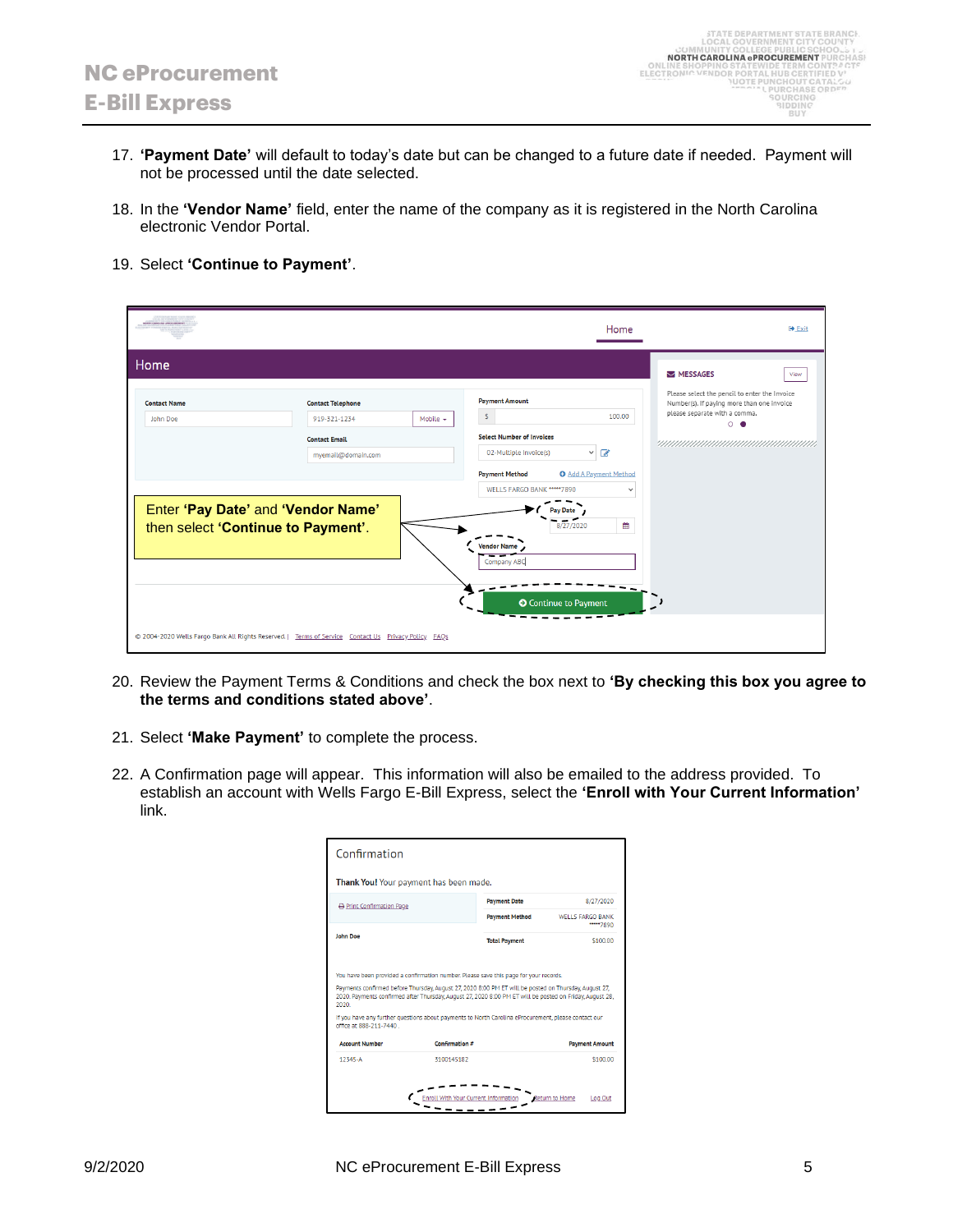- 17. **'Payment Date'** will default to today's date but can be changed to a future date if needed. Payment will not be processed until the date selected.
- 18. In the **'Vendor Name'** field, enter the name of the company as it is registered in the North Carolina electronic Vendor Portal.
- 19. Select **'Continue to Payment'**.

| Home<br>MESSAGES<br>View<br>Please select the pencil to enter the Invoice<br><b>Payment Amount</b><br><b>Contact Name</b><br><b>Contact Telephone</b><br>Number(s). If paying more than one invoice<br>please separate with a comma.<br>\$<br>100.00<br>919-321-1234<br>Mobile $\star$<br>John Doe<br>$\circ$ $\bullet$<br><b>Select Number of Invoices</b><br><b>Contact Email</b><br>$\times$ $\alpha$<br>02-Multiple Invoice(s)<br>myemail@domain.com<br><b>O</b> Add A Payment Method<br><b>Payment Method</b><br>WELLS FARGO BANK ***** 7890<br>$\checkmark$<br>Enter 'Pay Date' and 'Vendor Name'<br>ay Date<br>雦<br>then select 'Continue to Payment'.<br>8/27/2020<br>Vendor Name<br>Company ABC<br><b>O</b> Continue to Payment | <b>OFFICAROLINA APROCURE</b> | Home | <b>■ Exit</b> |
|------------------------------------------------------------------------------------------------------------------------------------------------------------------------------------------------------------------------------------------------------------------------------------------------------------------------------------------------------------------------------------------------------------------------------------------------------------------------------------------------------------------------------------------------------------------------------------------------------------------------------------------------------------------------------------------------------------------------------------------|------------------------------|------|---------------|
|                                                                                                                                                                                                                                                                                                                                                                                                                                                                                                                                                                                                                                                                                                                                          |                              |      |               |
|                                                                                                                                                                                                                                                                                                                                                                                                                                                                                                                                                                                                                                                                                                                                          |                              |      |               |
|                                                                                                                                                                                                                                                                                                                                                                                                                                                                                                                                                                                                                                                                                                                                          |                              |      |               |

- 20. Review the Payment Terms & Conditions and check the box next to **'By checking this box you agree to the terms and conditions stated above'**.
- 21. Select **'Make Payment'** to complete the process.
- 22. A Confirmation page will appear. This information will also be emailed to the address provided. To establish an account with Wells Fargo E-Bill Express, select the **'Enroll with Your Current Information'** link.

| Confirmation            |                                                                                                                                                                                                                 |                       |                                      |
|-------------------------|-----------------------------------------------------------------------------------------------------------------------------------------------------------------------------------------------------------------|-----------------------|--------------------------------------|
|                         | Thank You! Your payment has been made.                                                                                                                                                                          |                       |                                      |
| Print Confirmation Page |                                                                                                                                                                                                                 | <b>Payment Date</b>   | 8/27/2020                            |
|                         |                                                                                                                                                                                                                 | <b>Payment Method</b> | <b>WELLS FARGO BANK</b><br>*****7890 |
|                         |                                                                                                                                                                                                                 |                       |                                      |
| <b>John Doe</b>         | You have been provided a confirmation number. Please save this page for your records.                                                                                                                           | <b>Total Payment</b>  |                                      |
|                         | Payments confirmed before Thursday, August 27, 2020 8:00 PM ET will be posted on Thursday, August 27.                                                                                                           |                       | \$100.00                             |
| 2020                    | 2020. Payments confirmed after Thursday, August 27, 2020 8:00 PM ET will be posted on Friday, August 28,<br>If you have any further questions about payments to North Carolina eProcurement, please contact our |                       |                                      |
| office at 888-211-7440  |                                                                                                                                                                                                                 |                       |                                      |
| <b>Account Number</b>   | Confirmation #                                                                                                                                                                                                  |                       | <b>Payment Amount</b>                |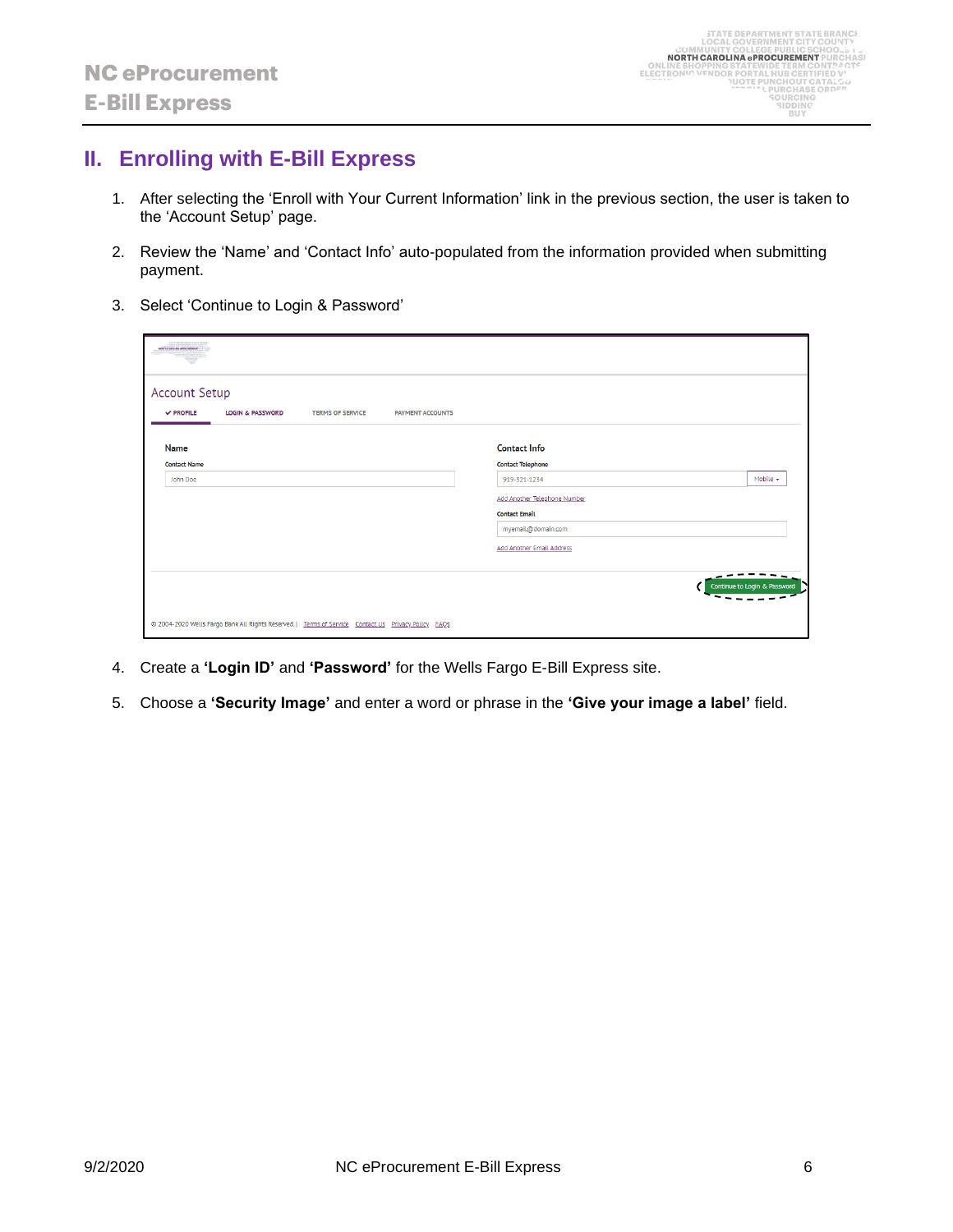## <span id="page-5-0"></span>**II. Enrolling with E-Bill Express**

- 1. After selecting the 'Enroll with Your Current Information' link in the previous section, the user is taken to the 'Account Setup' page.
- 2. Review the 'Name' and 'Contact Info' auto-populated from the information provided when submitting payment.
- 3. Select 'Continue to Login & Password'

| MORTH CARDLINE -PROCURENTS                                                                                                  |                                                                                                                                                                                                            |
|-----------------------------------------------------------------------------------------------------------------------------|------------------------------------------------------------------------------------------------------------------------------------------------------------------------------------------------------------|
| <b>Account Setup</b><br>$\vee$ PROFILE<br><b>LOGIN &amp; PASSWORD</b><br><b>TERMS OF SERVICE</b><br><b>PAYMENT ACCOUNTS</b> |                                                                                                                                                                                                            |
| <b>Name</b><br><b>Contact Name</b><br>John Doe                                                                              | <b>Contact Info</b><br><b>Contact Telephone</b><br>Mobile $\star$<br>919-321-1234<br><b>Add Another Telephone Number</b><br><b>Contact Email</b><br>myemail@domain.com<br><b>Add Another Email Address</b> |
| @ 2004-2020 Wells Fargo Bank All Rights Reserved.   Terms of Service Contact Us Privacy Policy FAQs                         | Continue to Login & Password                                                                                                                                                                               |

- 4. Create a **'Login ID'** and **'Password'** for the Wells Fargo E-Bill Express site.
- 5. Choose a **'Security Image'** and enter a word or phrase in the **'Give your image a label'** field.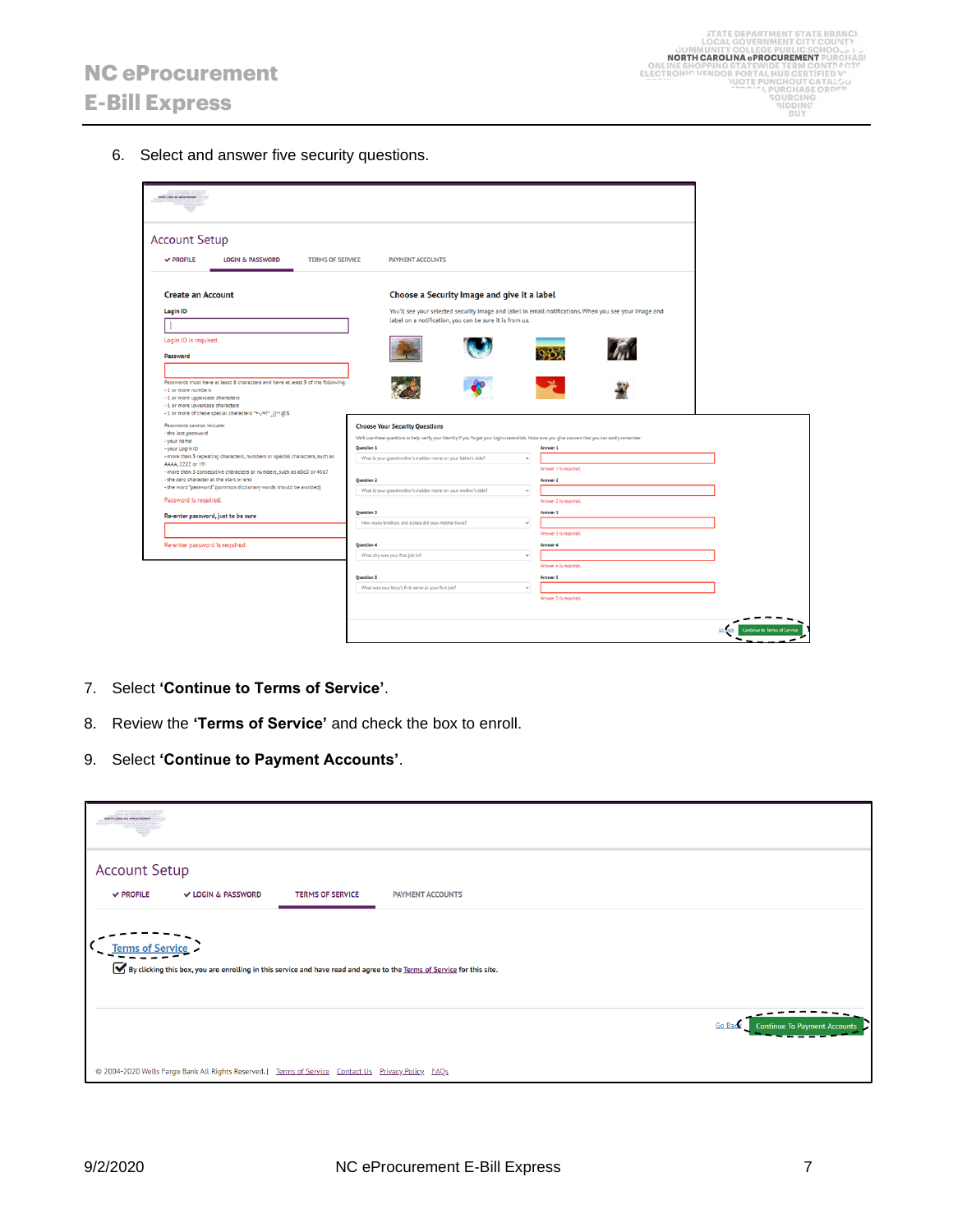6. Select and answer five security questions.



- 7. Select **'Continue to Terms of Service'**.
- 8. Review the **'Terms of Service'** and check the box to enroll.
- 9. Select **'Continue to Payment Accounts'**.

| NORTH CARDLINA APROCUREMENT            |                                                                                                     |                         |                                                                                                                        |                                               |  |
|----------------------------------------|-----------------------------------------------------------------------------------------------------|-------------------------|------------------------------------------------------------------------------------------------------------------------|-----------------------------------------------|--|
| <b>Account Setup</b><br>$\vee$ PROFILE | V LOGIN & PASSWORD                                                                                  | <b>TERMS OF SERVICE</b> | <b>PAYMENT ACCOUNTS</b>                                                                                                |                                               |  |
| <b>Terms of Service</b>                |                                                                                                     |                         | By clicking this box, you are enrolling in this service and have read and agree to the Terms of Service for this site. |                                               |  |
|                                        |                                                                                                     |                         |                                                                                                                        | Go Bad<br><b>Continue To Payment Accounts</b> |  |
|                                        | @ 2004-2020 Wells Fargo Bank All Rights Reserved.   Terms of Service Contact Us Privacy Policy FAQs |                         |                                                                                                                        |                                               |  |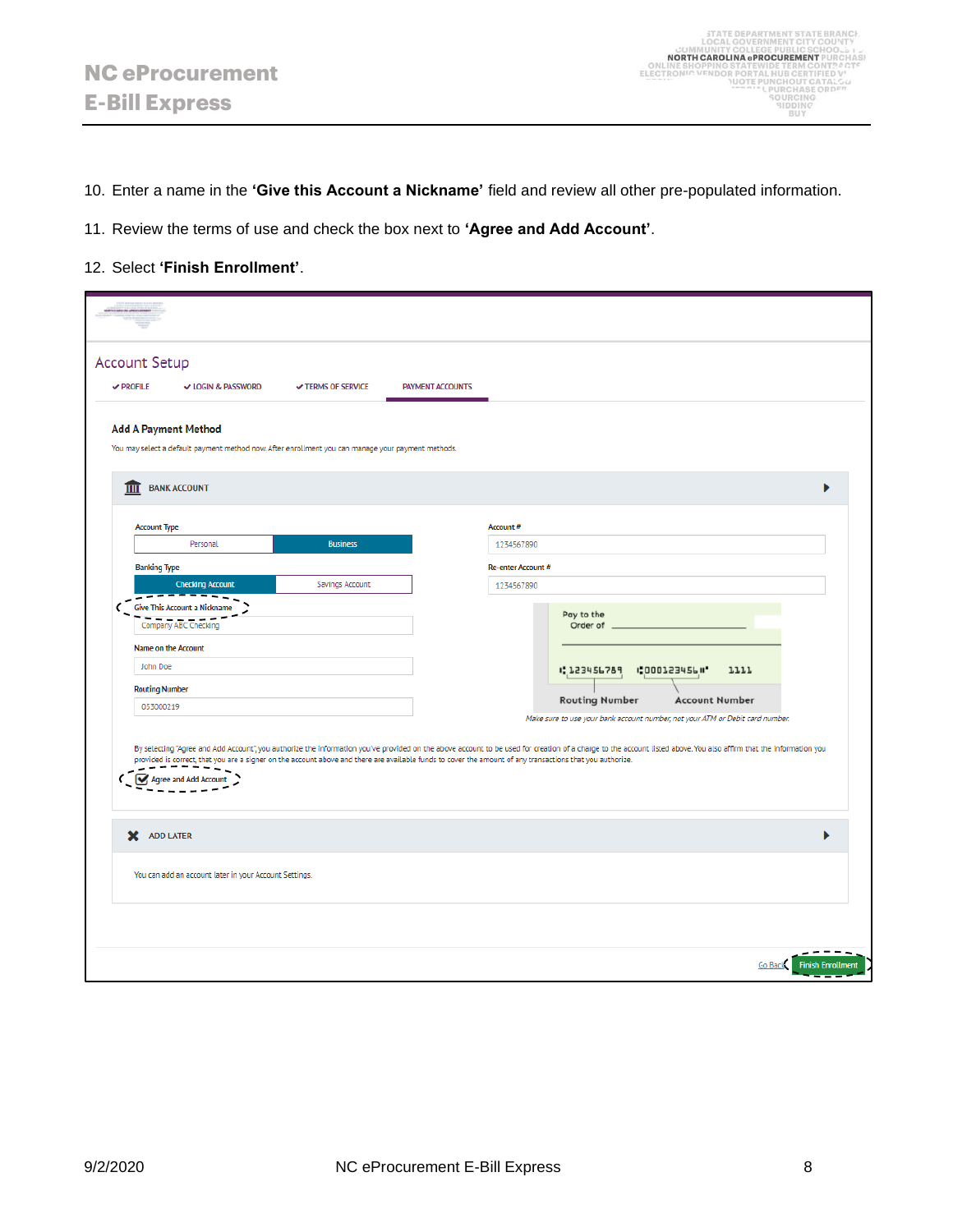10. Enter a name in the **'Give this Account a Nickname'** field and review all other pre-populated information.

- 11. Review the terms of use and check the box next to **'Agree and Add Account'**.
- 12. Select **'Finish Enrollment'**.

|                             | <b>Account Setup</b>                                   |                                                                                                    |                         |                                                                                                                                                                                                                                                                                                                                                                                 |
|-----------------------------|--------------------------------------------------------|----------------------------------------------------------------------------------------------------|-------------------------|---------------------------------------------------------------------------------------------------------------------------------------------------------------------------------------------------------------------------------------------------------------------------------------------------------------------------------------------------------------------------------|
| $\vee$ PROFILE              | V LOGIN & PASSWORD                                     | <b>√ TERMS OF SERVICE</b>                                                                          | <b>PAYMENT ACCOUNTS</b> |                                                                                                                                                                                                                                                                                                                                                                                 |
| <b>Add A Payment Method</b> |                                                        |                                                                                                    |                         |                                                                                                                                                                                                                                                                                                                                                                                 |
|                             |                                                        | You may select a default payment method now. After enrollment you can manage your payment methods. |                         |                                                                                                                                                                                                                                                                                                                                                                                 |
| <b>THE BANK ACCOUNT</b>     |                                                        |                                                                                                    |                         | ь                                                                                                                                                                                                                                                                                                                                                                               |
|                             |                                                        |                                                                                                    |                         |                                                                                                                                                                                                                                                                                                                                                                                 |
| <b>Account Type</b>         |                                                        |                                                                                                    |                         | Account #                                                                                                                                                                                                                                                                                                                                                                       |
|                             | Personal                                               | <b>Business</b>                                                                                    |                         | 1234567890                                                                                                                                                                                                                                                                                                                                                                      |
| <b>Banking Type</b>         | <b>Checking Account</b>                                |                                                                                                    |                         | Re-enter Account #                                                                                                                                                                                                                                                                                                                                                              |
|                             | -------                                                | Savings Account                                                                                    |                         | 1234567890                                                                                                                                                                                                                                                                                                                                                                      |
|                             | Give This Account a Nickname<br>Company ABC Checking   |                                                                                                    |                         | Pay to the<br>Order of                                                                                                                                                                                                                                                                                                                                                          |
| Name on the Account         |                                                        |                                                                                                    |                         |                                                                                                                                                                                                                                                                                                                                                                                 |
| John Doe                    |                                                        |                                                                                                    |                         | 1:123456789<br><b>1:000123456 II*</b><br>1111                                                                                                                                                                                                                                                                                                                                   |
| <b>Routing Number</b>       |                                                        |                                                                                                    |                         |                                                                                                                                                                                                                                                                                                                                                                                 |
| 053000219                   |                                                        |                                                                                                    |                         | <b>Routing Number</b><br><b>Account Number</b><br>Make sure to use your bank account number, not your ATM or Debit card number.                                                                                                                                                                                                                                                 |
|                             | Agree and Add Account                                  |                                                                                                    |                         | By selecting "Agree and Add Account", you authorize the information you've provided on the above account to be used for creation of a charge to the account listed above. You also affirm that the information you<br>provided is correct, that you are a signer on the account above and there are available funds to cover the amount of any transactions that you authorize. |
|                             |                                                        |                                                                                                    |                         | ь                                                                                                                                                                                                                                                                                                                                                                               |
| X ADD LATER                 | You can add an account later in your Account Settings. |                                                                                                    |                         |                                                                                                                                                                                                                                                                                                                                                                                 |
|                             |                                                        |                                                                                                    |                         |                                                                                                                                                                                                                                                                                                                                                                                 |